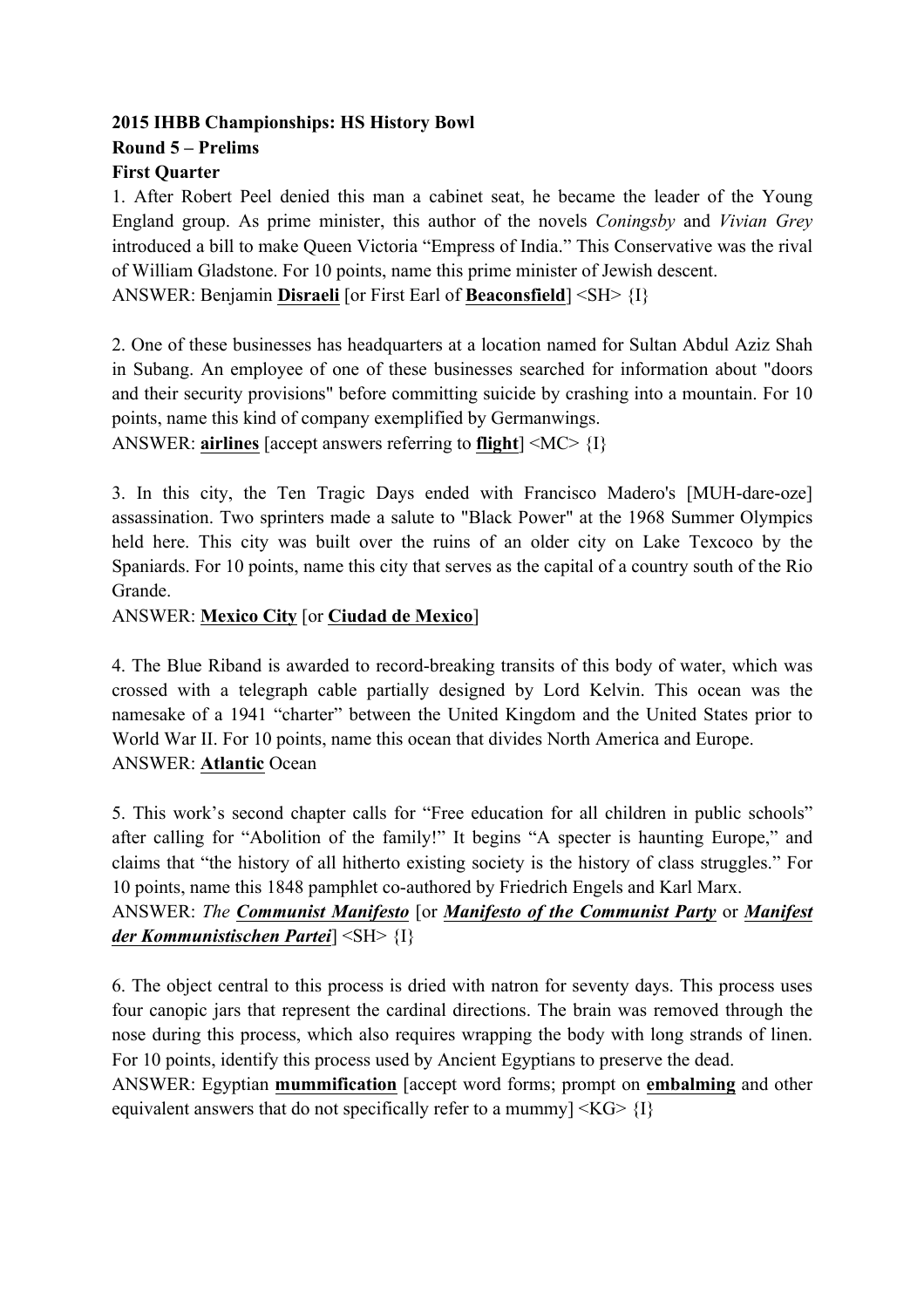#### **2015 IHBB Championships: HS History Bowl Round 5 – Prelims First Quarter**

1. After Robert Peel denied this man a cabinet seat, he became the leader of the Young England group. As prime minister, this author of the novels *Coningsby* and *Vivian Grey* introduced a bill to make Queen Victoria "Empress of India." This Conservative was the rival of William Gladstone. For 10 points, name this prime minister of Jewish descent. ANSWER: Benjamin **Disraeli** [or First Earl of **Beaconsfield**] <SH> {I}

2. One of these businesses has headquarters at a location named for Sultan Abdul Aziz Shah in Subang. An employee of one of these businesses searched for information about "doors and their security provisions" before committing suicide by crashing into a mountain. For 10 points, name this kind of company exemplified by Germanwings.

ANSWER: **airlines** [accept answers referring to **flight**] <MC> {I}

3. In this city, the Ten Tragic Days ended with Francisco Madero's [MUH-dare-oze] assassination. Two sprinters made a salute to "Black Power" at the 1968 Summer Olympics held here. This city was built over the ruins of an older city on Lake Texcoco by the Spaniards. For 10 points, name this city that serves as the capital of a country south of the Rio Grande.

ANSWER: **Mexico City** [or **Ciudad de Mexico**]

4. The Blue Riband is awarded to record-breaking transits of this body of water, which was crossed with a telegraph cable partially designed by Lord Kelvin. This ocean was the namesake of a 1941 "charter" between the United Kingdom and the United States prior to World War II. For 10 points, name this ocean that divides North America and Europe. ANSWER: **Atlantic** Ocean

5. This work's second chapter calls for "Free education for all children in public schools" after calling for "Abolition of the family!" It begins "A specter is haunting Europe," and claims that "the history of all hitherto existing society is the history of class struggles." For 10 points, name this 1848 pamphlet co-authored by Friedrich Engels and Karl Marx.

# ANSWER: *The Communist Manifesto* [or *Manifesto of the Communist Party* or *Manifest der Kommunistischen Partei*] <SH> {I}

6. The object central to this process is dried with natron for seventy days. This process uses four canopic jars that represent the cardinal directions. The brain was removed through the nose during this process, which also requires wrapping the body with long strands of linen. For 10 points, identify this process used by Ancient Egyptians to preserve the dead.

ANSWER: Egyptian **mummification** [accept word forms; prompt on **embalming** and other equivalent answers that do not specifically refer to a mummy]  $\langle KG \rangle$  {I}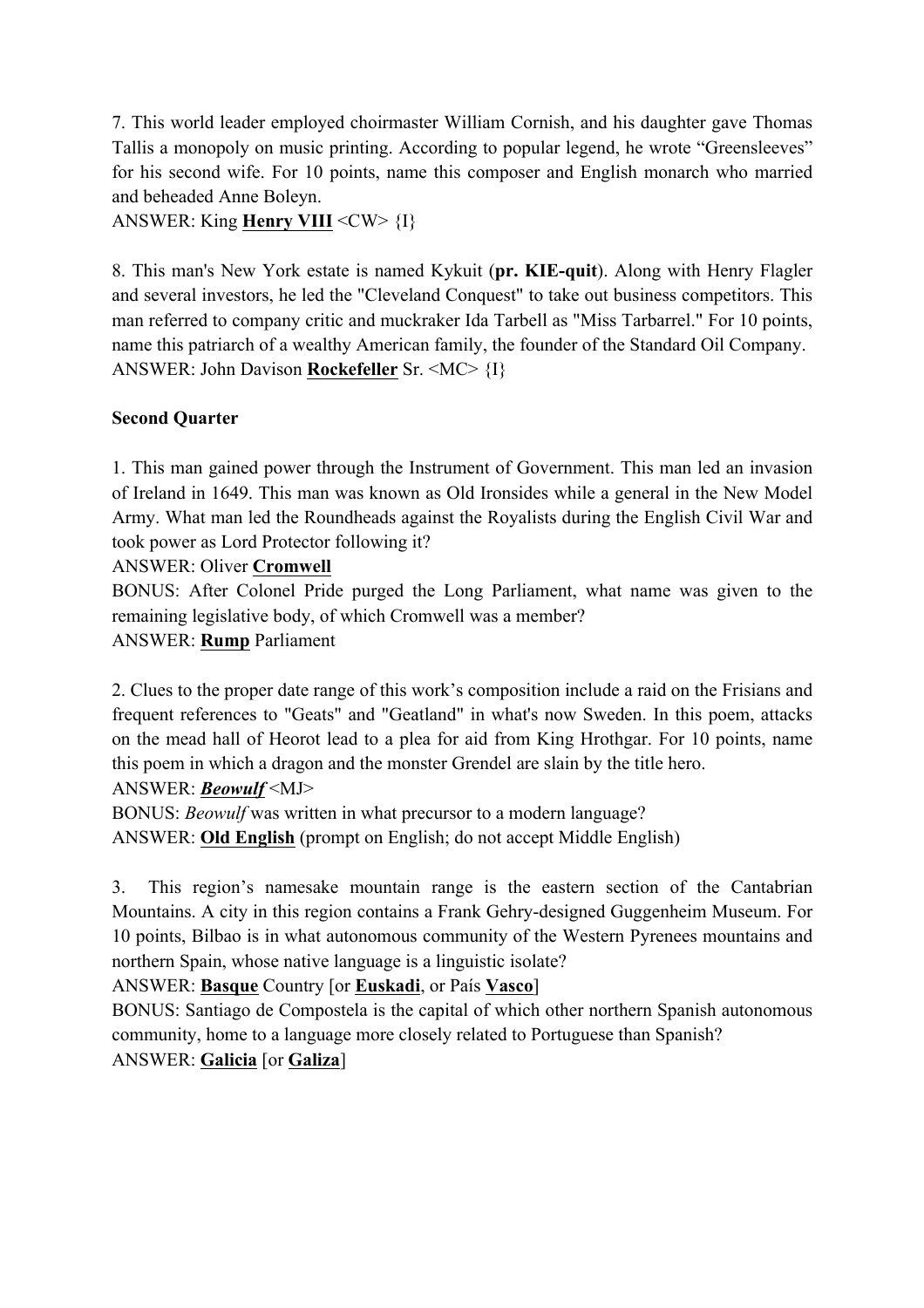7. This world leader employed choirmaster William Cornish, and his daughter gave Thomas Tallis a monopoly on music printing. According to popular legend, he wrote "Greensleeves" for his second wife. For 10 points, name this composer and English monarch who married and beheaded Anne Boleyn.

ANSWER: King **Henry VIII** <CW> {I}

8. This man's New York estate is named Kykuit (**pr. KIE-quit**). Along with Henry Flagler and several investors, he led the "Cleveland Conquest" to take out business competitors. This man referred to company critic and muckraker Ida Tarbell as "Miss Tarbarrel." For 10 points, name this patriarch of a wealthy American family, the founder of the Standard Oil Company. ANSWER: John Davison **Rockefeller** Sr. <MC> {I}

## **Second Quarter**

1. This man gained power through the Instrument of Government. This man led an invasion of Ireland in 1649. This man was known as Old Ironsides while a general in the New Model Army. What man led the Roundheads against the Royalists during the English Civil War and took power as Lord Protector following it?

ANSWER: Oliver **Cromwell**

BONUS: After Colonel Pride purged the Long Parliament, what name was given to the remaining legislative body, of which Cromwell was a member?

ANSWER: **Rump** Parliament

2. Clues to the proper date range of this work's composition include a raid on the Frisians and frequent references to "Geats" and "Geatland" in what's now Sweden. In this poem, attacks on the mead hall of Heorot lead to a plea for aid from King Hrothgar. For 10 points, name this poem in which a dragon and the monster Grendel are slain by the title hero.

ANSWER: *Beowulf* <MJ>

BONUS: *Beowulf* was written in what precursor to a modern language? ANSWER: **Old English** (prompt on English; do not accept Middle English)

3. This region's namesake mountain range is the eastern section of the Cantabrian Mountains. A city in this region contains a Frank Gehry-designed Guggenheim Museum. For 10 points, Bilbao is in what autonomous community of the Western Pyrenees mountains and northern Spain, whose native language is a linguistic isolate?

ANSWER: **Basque** Country [or **Euskadi**, or País **Vasco**]

BONUS: Santiago de Compostela is the capital of which other northern Spanish autonomous community, home to a language more closely related to Portuguese than Spanish? ANSWER: **Galicia** [or **Galiza**]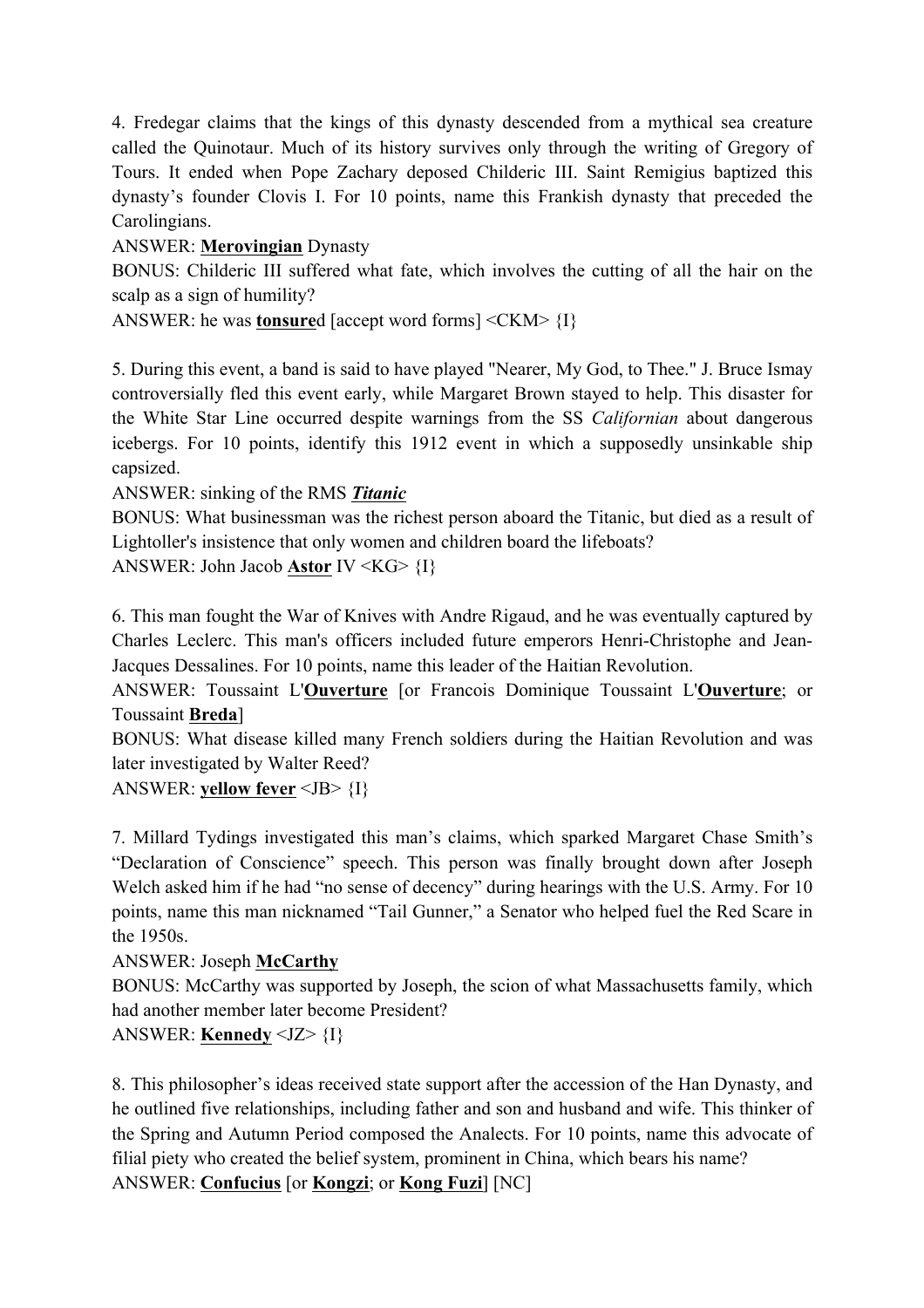4. Fredegar claims that the kings of this dynasty descended from a mythical sea creature called the Quinotaur. Much of its history survives only through the writing of Gregory of Tours. It ended when Pope Zachary deposed Childeric III. Saint Remigius baptized this dynasty's founder Clovis I. For 10 points, name this Frankish dynasty that preceded the Carolingians.

ANSWER: **Merovingian** Dynasty

BONUS: Childeric III suffered what fate, which involves the cutting of all the hair on the scalp as a sign of humility?

ANSWER: he was **tonsure**d [accept word forms] <CKM> {I}

5. During this event, a band is said to have played "Nearer, My God, to Thee." J. Bruce Ismay controversially fled this event early, while Margaret Brown stayed to help. This disaster for the White Star Line occurred despite warnings from the SS *Californian* about dangerous icebergs. For 10 points, identify this 1912 event in which a supposedly unsinkable ship capsized.

ANSWER: sinking of the RMS *Titanic*

BONUS: What businessman was the richest person aboard the Titanic, but died as a result of Lightoller's insistence that only women and children board the lifeboats?

ANSWER: John Jacob **Astor** IV <KG> {I}

6. This man fought the War of Knives with Andre Rigaud, and he was eventually captured by Charles Leclerc. This man's officers included future emperors Henri-Christophe and Jean-Jacques Dessalines. For 10 points, name this leader of the Haitian Revolution.

ANSWER: Toussaint L'**Ouverture** [or Francois Dominique Toussaint L'**Ouverture**; or Toussaint **Breda**]

BONUS: What disease killed many French soldiers during the Haitian Revolution and was later investigated by Walter Reed?

ANSWER: **yellow fever** <JB> {I}

7. Millard Tydings investigated this man's claims, which sparked Margaret Chase Smith's "Declaration of Conscience" speech. This person was finally brought down after Joseph Welch asked him if he had "no sense of decency" during hearings with the U.S. Army. For 10 points, name this man nicknamed "Tail Gunner," a Senator who helped fuel the Red Scare in the 1950s.

ANSWER: Joseph **McCarthy**

BONUS: McCarthy was supported by Joseph, the scion of what Massachusetts family, which had another member later become President?

## ANSWER: **Kennedy** <JZ> {I}

8. This philosopher's ideas received state support after the accession of the Han Dynasty, and he outlined five relationships, including father and son and husband and wife. This thinker of the Spring and Autumn Period composed the Analects. For 10 points, name this advocate of filial piety who created the belief system, prominent in China, which bears his name? ANSWER: **Confucius** [or **Kongzi**; or **Kong Fuzi**] [NC]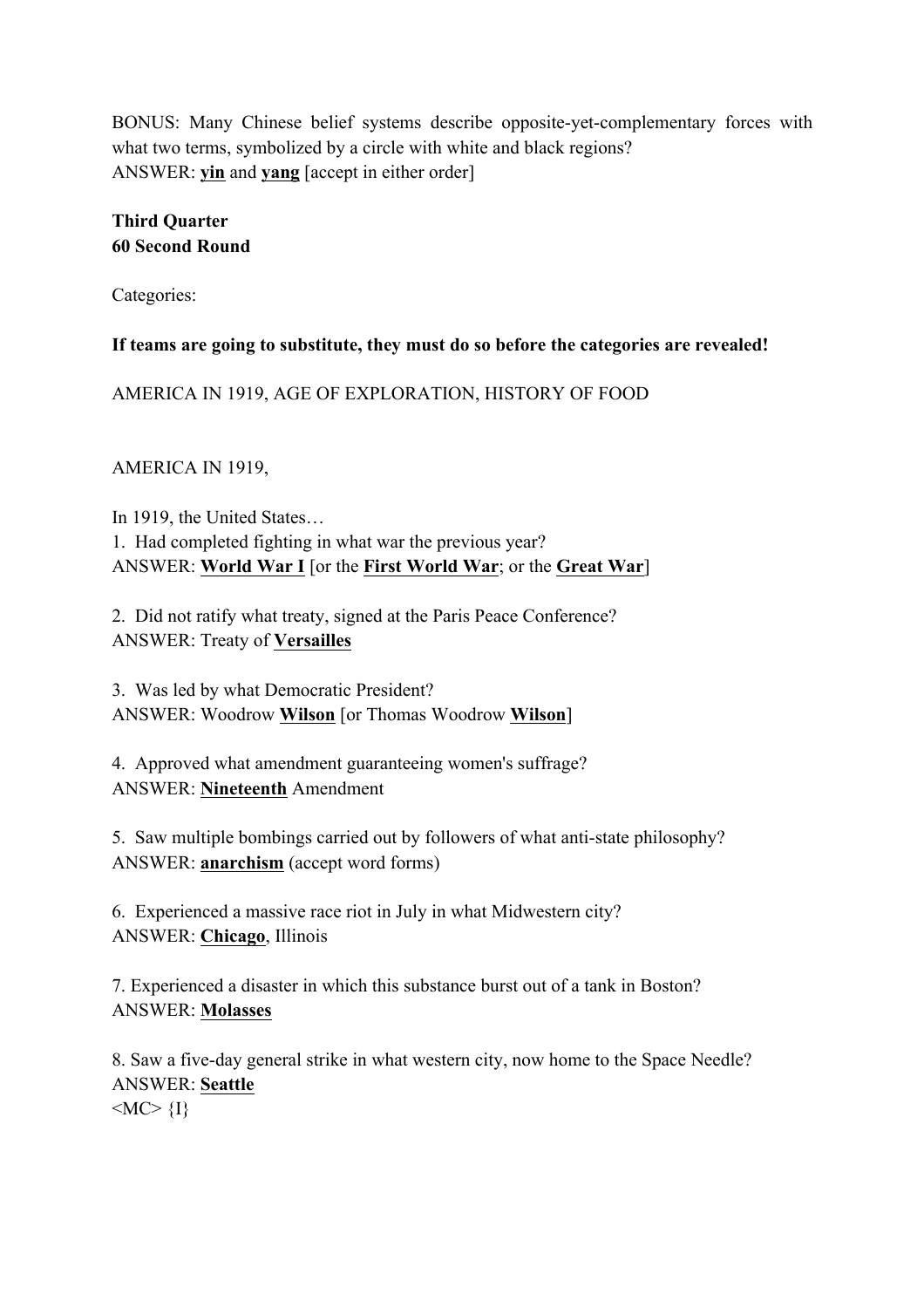BONUS: Many Chinese belief systems describe opposite-yet-complementary forces with what two terms, symbolized by a circle with white and black regions? ANSWER: **yin** and **yang** [accept in either order]

# **Third Quarter 60 Second Round**

Categories:

## **If teams are going to substitute, they must do so before the categories are revealed!**

AMERICA IN 1919, AGE OF EXPLORATION, HISTORY OF FOOD

AMERICA IN 1919,

In 1919, the United States… 1. Had completed fighting in what war the previous year? ANSWER: **World War I** [or the **First World War**; or the **Great War**]

2. Did not ratify what treaty, signed at the Paris Peace Conference? ANSWER: Treaty of **Versailles**

3. Was led by what Democratic President? ANSWER: Woodrow **Wilson** [or Thomas Woodrow **Wilson**]

4. Approved what amendment guaranteeing women's suffrage? ANSWER: **Nineteenth** Amendment

5. Saw multiple bombings carried out by followers of what anti-state philosophy? ANSWER: **anarchism** (accept word forms)

6. Experienced a massive race riot in July in what Midwestern city? ANSWER: **Chicago**, Illinois

7. Experienced a disaster in which this substance burst out of a tank in Boston? ANSWER: **Molasses**

8. Saw a five-day general strike in what western city, now home to the Space Needle? ANSWER: **Seattle**  $|MC>$  {I}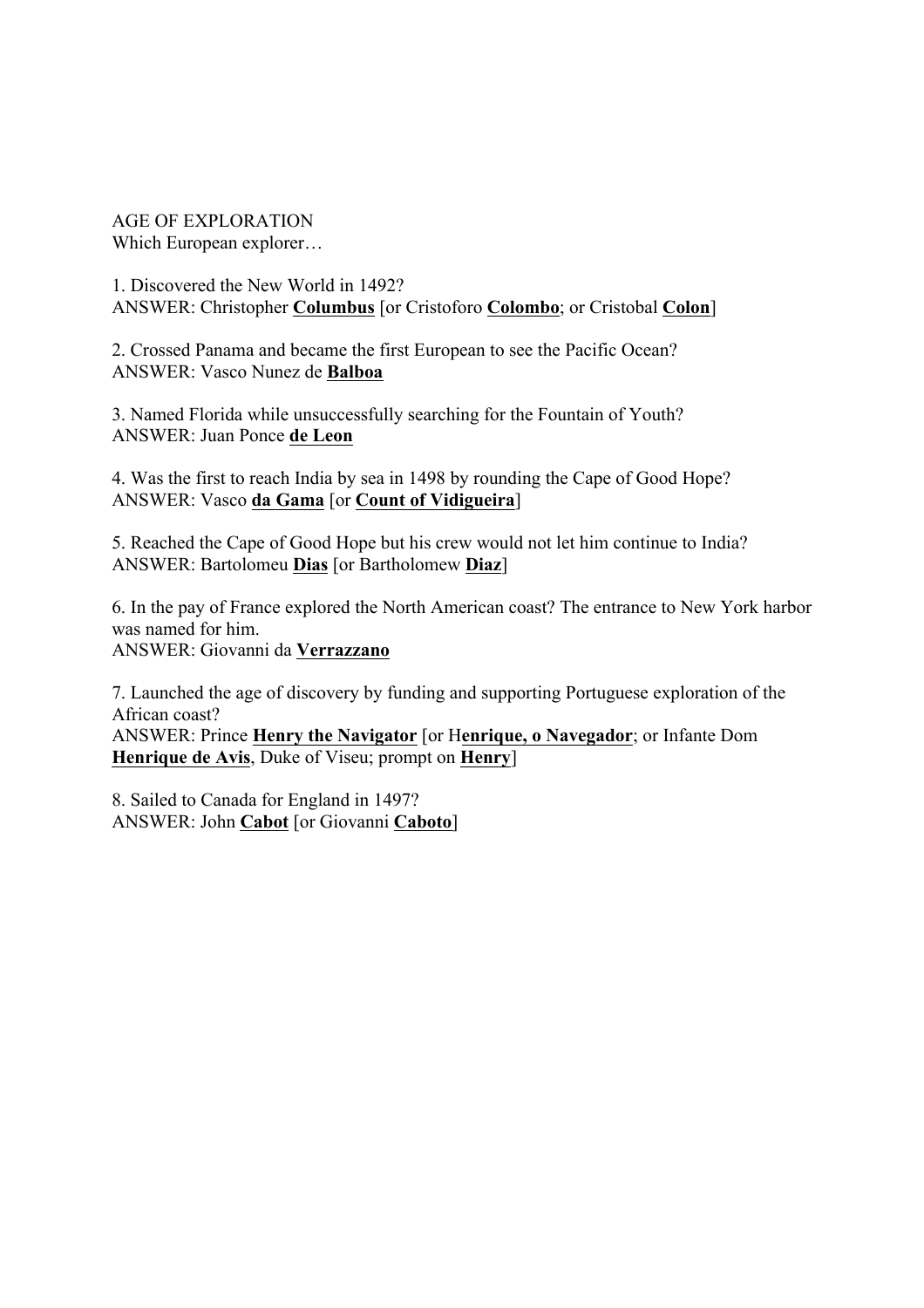AGE OF EXPLORATION Which European explorer…

1. Discovered the New World in 1492? ANSWER: Christopher **Columbus** [or Cristoforo **Colombo**; or Cristobal **Colon**]

2. Crossed Panama and became the first European to see the Pacific Ocean? ANSWER: Vasco Nunez de **Balboa**

3. Named Florida while unsuccessfully searching for the Fountain of Youth? ANSWER: Juan Ponce **de Leon**

4. Was the first to reach India by sea in 1498 by rounding the Cape of Good Hope? ANSWER: Vasco **da Gama** [or **Count of Vidigueira**]

5. Reached the Cape of Good Hope but his crew would not let him continue to India? ANSWER: Bartolomeu **Dias** [or Bartholomew **Diaz**]

6. In the pay of France explored the North American coast? The entrance to New York harbor was named for him. ANSWER: Giovanni da **Verrazzano**

7. Launched the age of discovery by funding and supporting Portuguese exploration of the African coast?

ANSWER: Prince **Henry the Navigator** [or H**enrique, o Navegador**; or Infante Dom **Henrique de Avis**, Duke of Viseu; prompt on **Henry**]

8. Sailed to Canada for England in 1497? ANSWER: John **Cabot** [or Giovanni **Caboto**]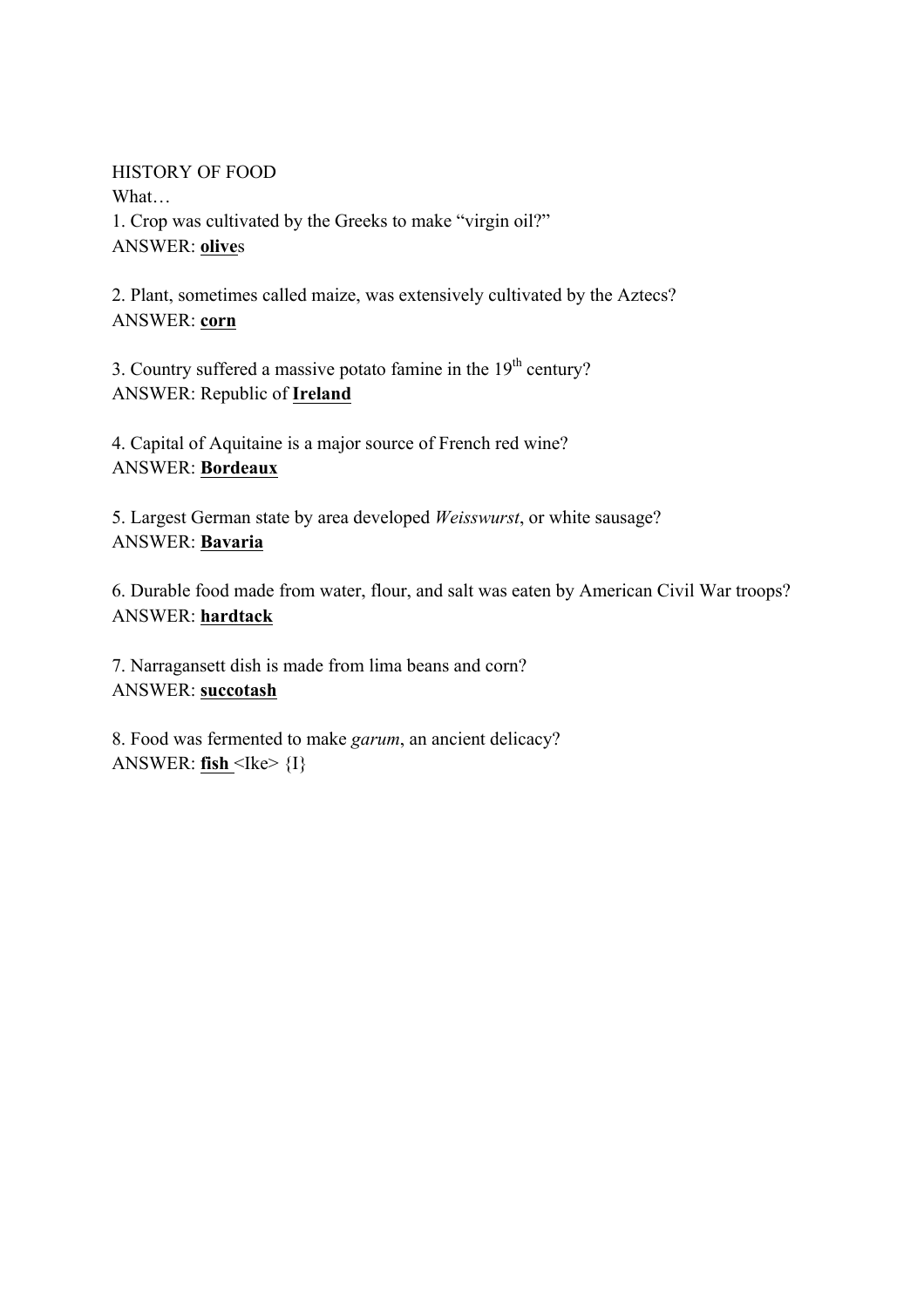#### HISTORY OF FOOD

What… 1. Crop was cultivated by the Greeks to make "virgin oil?" ANSWER: **olive**s

2. Plant, sometimes called maize, was extensively cultivated by the Aztecs? ANSWER: **corn**

3. Country suffered a massive potato famine in the  $19<sup>th</sup>$  century? ANSWER: Republic of **Ireland**

4. Capital of Aquitaine is a major source of French red wine? ANSWER: **Bordeaux**

5. Largest German state by area developed *Weisswurst*, or white sausage? ANSWER: **Bavaria**

6. Durable food made from water, flour, and salt was eaten by American Civil War troops? ANSWER: **hardtack**

7. Narragansett dish is made from lima beans and corn? ANSWER: **succotash**

8. Food was fermented to make *garum*, an ancient delicacy? ANSWER:  $fish \leq k \geq \{I\}$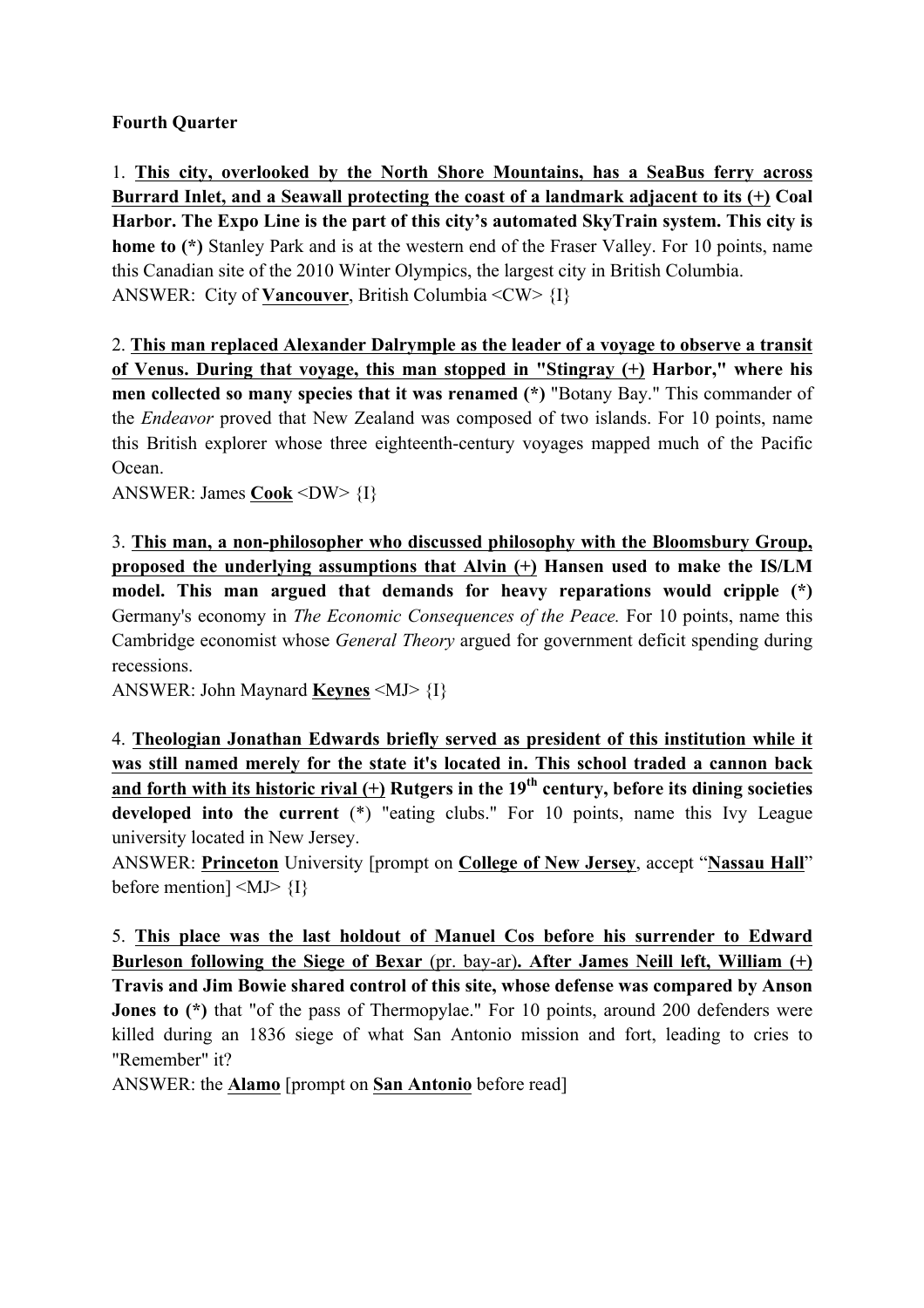#### **Fourth Quarter**

1. **This city, overlooked by the North Shore Mountains, has a SeaBus ferry across Burrard Inlet, and a Seawall protecting the coast of a landmark adjacent to its (+) Coal Harbor. The Expo Line is the part of this city's automated SkyTrain system. This city is home to (\*)** Stanley Park and is at the western end of the Fraser Valley. For 10 points, name this Canadian site of the 2010 Winter Olympics, the largest city in British Columbia. ANSWER: City of **Vancouver**, British Columbia <CW> {I}

2. **This man replaced Alexander Dalrymple as the leader of a voyage to observe a transit of Venus. During that voyage, this man stopped in "Stingray (+) Harbor," where his men collected so many species that it was renamed (\*)** "Botany Bay." This commander of the *Endeavor* proved that New Zealand was composed of two islands. For 10 points, name this British explorer whose three eighteenth-century voyages mapped much of the Pacific Ocean.

ANSWER: James **Cook** <DW> {I}

3. **This man, a non-philosopher who discussed philosophy with the Bloomsbury Group, proposed the underlying assumptions that Alvin (+) Hansen used to make the IS/LM model. This man argued that demands for heavy reparations would cripple (\*)** Germany's economy in *The Economic Consequences of the Peace.* For 10 points, name this Cambridge economist whose *General Theory* argued for government deficit spending during recessions.

ANSWER: John Maynard **Keynes** <MJ> {I}

4. **Theologian Jonathan Edwards briefly served as president of this institution while it was still named merely for the state it's located in. This school traded a cannon back and forth with its historic rival (+) Rutgers in the 19th century, before its dining societies developed into the current** (\*) "eating clubs." For 10 points, name this Ivy League university located in New Jersey.

ANSWER: **Princeton** University [prompt on **College of New Jersey**, accept "**Nassau Hall**" before mention]  $\langle MJ\rangle$  {I}

5. **This place was the last holdout of Manuel Cos before his surrender to Edward Burleson following the Siege of Bexar** (pr. bay-ar)**. After James Neill left, William (+) Travis and Jim Bowie shared control of this site, whose defense was compared by Anson Jones to** (\*) that "of the pass of Thermopylae." For 10 points, around 200 defenders were killed during an 1836 siege of what San Antonio mission and fort, leading to cries to "Remember" it?

ANSWER: the **Alamo** [prompt on **San Antonio** before read]